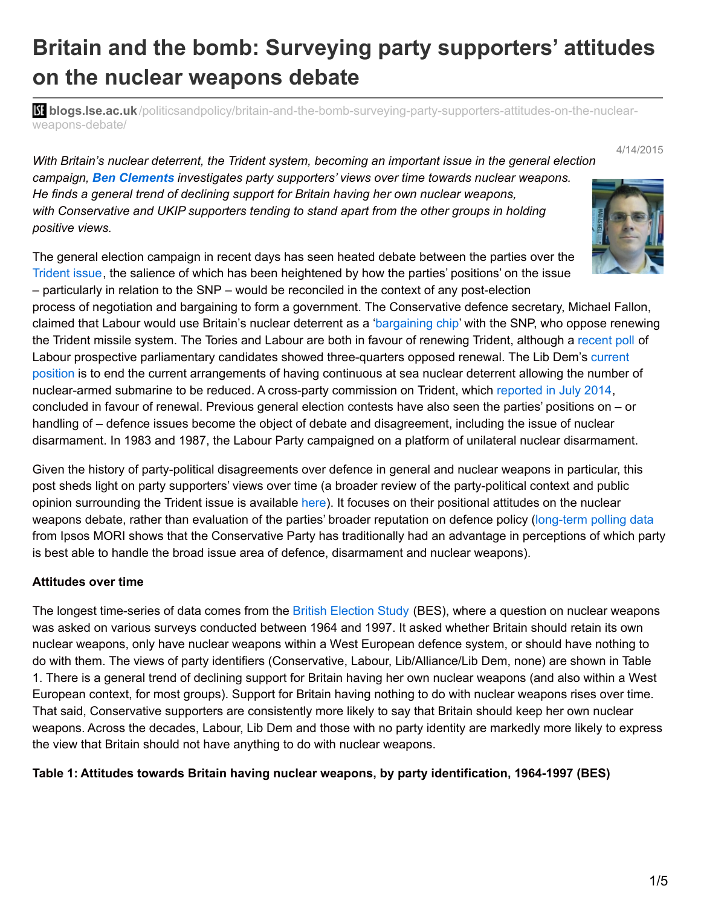# **Britain and the bomb: Surveying party supporters' attitudes on the nuclear weapons debate**

**blist blogs.lse.ac.uk**[/politicsandpolicy/britain-and-the-bomb-surveying-party-supporters-attitudes-on-the-nuclear](http://blogs.lse.ac.uk/politicsandpolicy/britain-and-the-bomb-surveying-party-supporters-attitudes-on-the-nuclear-weapons-debate/)weapons-debate/

*With Britain's nuclear deterrent, the Trident system, becoming an important issue in the general election campaign, Ben Clements investigates party supporters' views over time towards nuclear weapons. He finds a general trend of declining support for Britain having her own nuclear weapons, with Conservative and UKIP supporters tending to stand apart from the other groups in holding positive views.*

The general election campaign in recent days has seen heated debate between the parties over the [Trident](http://www.theguardian.com/politics/2015/apr/09/tories-politics-of-the-gutter-trident-michael-fallon-ed-miliband) issue, the salience of which has been heightened by how the parties' positions' on the issue – particularly in relation to the SNP – would be reconciled in the context of any post-election

process of negotiation and bargaining to form a government. The Conservative defence secretary, Michael Fallon, claimed that Labour would use Britain's nuclear deterrent as a ['bargaining](http://www.bbc.co.uk/news/32227680) chip' with the SNP, who oppose renewing the Trident missile system. The Tories and Labour are both in favour of renewing Trident, although a [recent](http://www.newstatesman.com/politics/2015/03/exclusive-75-labour-ppcs-oppose-trident-renewal) poll of Labour prospective parliamentary candidates showed [three-quarters](http://www.bbc.co.uk/news/election/2015/manifesto-guide) opposed renewal. The Lib Dem's current position is to end the current arrangements of having continuous at sea nuclear deterrent allowing the number of nuclear-armed submarine to be reduced. A cross-party commission on Trident, which [reported](http://www.theguardian.com/uk-news/2014/jul/01/trident-nuclear-missile-renewal-study) in July 2014, concluded in favour of renewal. Previous general election contests have also seen the parties' positions on – or handling of – defence issues become the object of debate and disagreement, including the issue of nuclear disarmament. In 1983 and 1987, the Labour Party campaigned on a platform of unilateral nuclear disarmament.

Given the history of party-political disagreements over defence in general and nuclear weapons in particular, this post sheds light on party supporters' views over time (a broader review of the party-political context and public opinion surrounding the Trident issue is available [here](http://www.basicint.org/sites/default/files/tridentpoliticspublicopinion_basicjul2013.pdf)). It focuses on their positional attitudes on the nuclear weapons debate, rather than evaluation of the parties' broader reputation on defence policy [\(long-term](https://www.ipsos-mori.com/researchpublications/researcharchive/poll.aspx?oItemID=21&view=wide) polling data from Ipsos MORI shows that the Conservative Party has traditionally had an advantage in perceptions of which party is best able to handle the broad issue area of defence, disarmament and nuclear weapons).

#### **Attitudes over time**

The longest time-series of data comes from the British [Election](http://www.britishelectionstudy.com/) Study (BES), where a question on nuclear weapons was asked on various surveys conducted between 1964 and 1997. It asked whether Britain should retain its own nuclear weapons, only have nuclear weapons within a West European defence system, or should have nothing to do with them. The views of party identifiers (Conservative, Labour, Lib/Alliance/Lib Dem, none) are shown in Table 1. There is a general trend of declining support for Britain having her own nuclear weapons (and also within a West European context, for most groups). Support for Britain having nothing to do with nuclear weapons rises over time. That said, Conservative supporters are consistently more likely to say that Britain should keep her own nuclear weapons. Across the decades, Labour, Lib Dem and those with no party identity are markedly more likely to express the view that Britain should not have anything to do with nuclear weapons.

#### **Table 1: Attitudes towards Britain having nuclear weapons, by party identification, 1964-1997 (BES)**



4/14/2015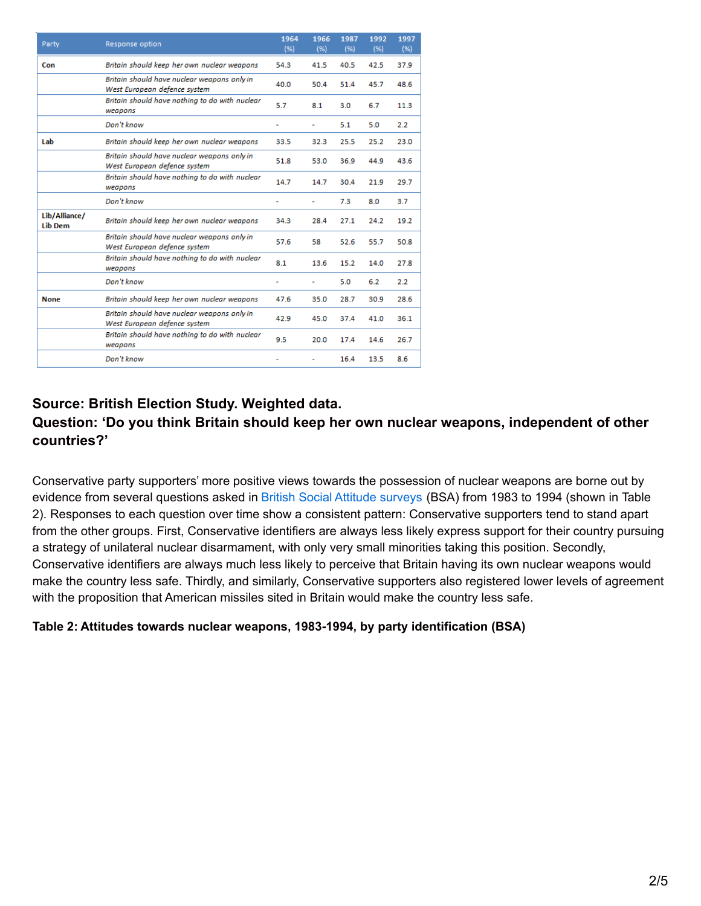| Party                           | Response option                                                             | 1964<br>(% ) | 1966<br>(% ) | 1987<br>(% ) | 1992<br>(% ) | 1997<br>(% ) |
|---------------------------------|-----------------------------------------------------------------------------|--------------|--------------|--------------|--------------|--------------|
| Con                             | Britain should keep her own nuclear weapons                                 | 54.3         | 41.5         | 40.5         | 42.5         | 37.9         |
|                                 | Britain should have nuclear weapons only in<br>West European defence system | 40.0         | 50.4         | 51.4         | 45.7         | 48.6         |
|                                 | Britain should have nothing to do with nuclear<br>weapons                   | 5.7          | 8.1          | 3.0          | 6.7          | 11.3         |
|                                 | Don't know                                                                  | ٠            | ÷.           | 5.1          | 5.0          | 2.2          |
| Lab                             | Britain should keep her own nuclear weapons                                 | 33.5         | 32.3         | 25.5         | 25.2         | 23.0         |
|                                 | Britain should have nuclear weapons only in<br>West European defence system | 51.8         | 53.0         | 36.9         | 44.9         | 43.6         |
|                                 | Britain should have nothing to do with nuclear<br>weapons                   | 14.7         | 14.7         | 30.4         | 21.9         | 29.7         |
|                                 | Don't know                                                                  | i.           | ٠            | 7.3          | 8.0          | 3.7          |
| Lib/Alliance/<br><b>Lib Dem</b> | Britain should keep her own nuclear weapons                                 | 34.3         | 28.4         | 27.1         | 24.2         | 19.2         |
|                                 | Britain should have nuclear weapons only in<br>West European defence system | 57.6         | 58           | 52.6         | 55.7         | 50.8         |
|                                 | Britain should have nothing to do with nuclear<br>weapons                   | 8.1          | 13.6         | 15.2         | 14.0         | 27.8         |
|                                 | Don't know                                                                  | ٠            | ۰            | 5.0          | 6.2          | 2.2          |
| <b>None</b>                     | Britain should keep her own nuclear weapons                                 | 47.6         | 35.0         | 28.7         | 30.9         | 28.6         |
|                                 | Britain should have nuclear weapons only in<br>West European defence system | 42.9         | 45.0         | 37.4         | 41.0         | 36.1         |
|                                 | Britain should have nothing to do with nuclear<br>weapons                   | 9.5          | 20.0         | 17.4         | 14.6         | 26.7         |
|                                 | Don't know                                                                  | ٠            | ۰            | 16.4         | 13.5         | 8.6          |

# **Source: British Election Study. Weighted data.**

## **Question: 'Do you think Britain should keep her own nuclear weapons, independent of other countries?'**

Conservative party supporters' more positive views towards the possession of nuclear weapons are borne out by evidence from several questions asked in British Social Attitude [surveys](http://www.bsa.natcen.ac.uk/about-bsa.aspx) (BSA) from 1983 to 1994 (shown in Table 2). Responses to each question over time show a consistent pattern: Conservative supporters tend to stand apart from the other groups. First, Conservative identifiers are always less likely express support for their country pursuing a strategy of unilateral nuclear disarmament, with only very small minorities taking this position. Secondly, Conservative identifiers are always much less likely to perceive that Britain having its own nuclear weapons would make the country less safe. Thirdly, and similarly, Conservative supporters also registered lower levels of agreement with the proposition that American missiles sited in Britain would make the country less safe.

#### **Table 2: Attitudes towards nuclear weapons, 1983-1994, by party identification (BSA)**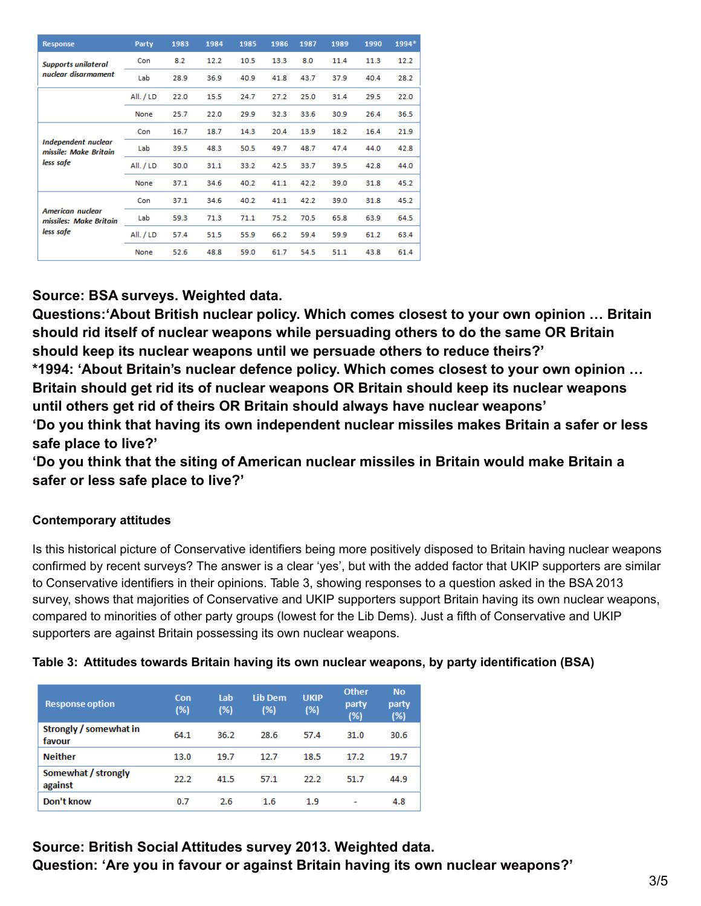| Response                                            | Party     | 1983 | 1984 | 1985 | 1986 | 1987 | 1989 | 1990 | 1994* |
|-----------------------------------------------------|-----------|------|------|------|------|------|------|------|-------|
| <b>Supports unilateral</b>                          | Con       | 8.2  | 12.2 | 10.5 | 13.3 | 8.0  | 11.4 | 11.3 | 12.2  |
| nuclear disarmament                                 | Lab       | 28.9 | 36.9 | 40.9 | 41.8 | 43.7 | 37.9 | 40.4 | 28.2  |
|                                                     | All. / LD | 22.0 | 15.5 | 24.7 | 27.2 | 25.0 | 31.4 | 29.5 | 22.0  |
|                                                     | None      | 25.7 | 22.0 | 29.9 | 32.3 | 33.6 | 30.9 | 26.4 | 36.5  |
|                                                     | Con       | 16.7 | 18.7 | 14.3 | 20.4 | 13.9 | 18.2 | 16.4 | 21.9  |
| <b>Independent nuclear</b><br>missile: Make Britain | Lab       | 39.5 | 48.3 | 50.5 | 49.7 | 48.7 | 47.4 | 44.0 | 42.8  |
| less safe                                           | All. / LD | 30.0 | 31.1 | 33.2 | 42.5 | 33.7 | 39.5 | 42.8 | 44.0  |
|                                                     | None      | 37.1 | 34.6 | 40.2 | 41.1 | 42.2 | 39.0 | 31.8 | 45.2  |
|                                                     | Con       | 37.1 | 34.6 | 40.2 | 41.1 | 42.2 | 39.0 | 31.8 | 45.2  |
| <b>American nuclear</b><br>missiles: Make Britain   | Lab       | 59.3 | 71.3 | 71.1 | 75.2 | 70.5 | 65.8 | 63.9 | 64.5  |
| less safe                                           | All. / LD | 57.4 | 51.5 | 55.9 | 66.2 | 59.4 | 59.9 | 61.2 | 63.4  |
|                                                     | None      | 52.6 | 48.8 | 59.0 | 61.7 | 54.5 | 51.1 | 43.8 | 61.4  |

## **Source: BSA surveys. Weighted data.**

**Questions:'About British nuclear policy. Which comes closest to your own opinion … Britain should rid itself of nuclear weapons while persuading others to do the same OR Britain should keep its nuclear weapons until we persuade others to reduce theirs?' \*1994: 'About Britain's nuclear defence policy. Which comes closest to your own opinion … Britain should get rid its of nuclear weapons OR Britain should keep its nuclear weapons until others get rid of theirs OR Britain should always have nuclear weapons' 'Do you think that having its own independent nuclear missiles makes Britain a safer or less**

**safe place to live?'**

**'Do you think that the siting of American nuclear missiles in Britain would make Britain a safer or less safe place to live?'**

## **Contemporary attitudes**

Is this historical picture of Conservative identifiers being more positively disposed to Britain having nuclear weapons confirmed by recent surveys? The answer is a clear 'yes', but with the added factor that UKIP supporters are similar to Conservative identifiers in their opinions. Table 3, showing responses to a question asked in the BSA 2013 survey, shows that majorities of Conservative and UKIP supporters support Britain having its own nuclear weapons, compared to minorities of other party groups (lowest for the Lib Dems). Just a fifth of Conservative and UKIP supporters are against Britain possessing its own nuclear weapons.

| Table 3: Attitudes towards Britain having its own nuclear weapons, by party identification (BSA) |  |  |  |
|--------------------------------------------------------------------------------------------------|--|--|--|
|--------------------------------------------------------------------------------------------------|--|--|--|

| <b>Response option</b>           | Con<br>(%) | Lab<br>(%) | <b>Lib Dem</b><br>(%) | <b>UKIP</b><br>(%) | <b>Other</b><br>party<br>(%) | <b>No</b><br>party<br>(%) |
|----------------------------------|------------|------------|-----------------------|--------------------|------------------------------|---------------------------|
| Strongly / somewhat in<br>favour | 64.1       | 36.2       | 28.6                  | 57.4               | 31.0                         | 30.6                      |
| <b>Neither</b>                   | 13.0       | 19.7       | 12.7                  | 18.5               | 17.2                         | 19.7                      |
| Somewhat / strongly<br>against   | 22.2       | 41.5       | 57.1                  | 22.2               | 51.7                         | 44.9                      |
| Don't know                       | 0.7        | 2.6        | $1.6\,$               | 1.9                | ٠                            | 4.8                       |

# **Source: British Social Attitudes survey 2013. Weighted data. Question: 'Are you in favour or against Britain having its own nuclear weapons?'**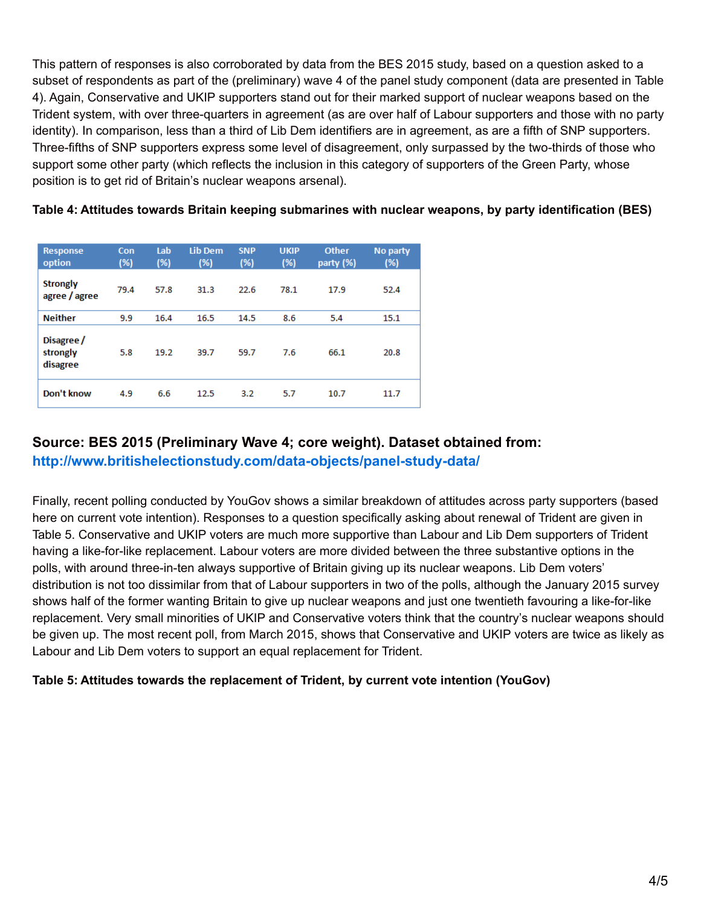This pattern of responses is also corroborated by data from the BES 2015 study, based on a question asked to a subset of respondents as part of the (preliminary) wave 4 of the panel study component (data are presented in Table 4). Again, Conservative and UKIP supporters stand out for their marked support of nuclear weapons based on the Trident system, with over three-quarters in agreement (as are over half of Labour supporters and those with no party identity). In comparison, less than a third of Lib Dem identifiers are in agreement, as are a fifth of SNP supporters. Three-fifths of SNP supporters express some level of disagreement, only surpassed by the two-thirds of those who support some other party (which reflects the inclusion in this category of supporters of the Green Party, whose position is to get rid of Britain's nuclear weapons arsenal).

| <b>Response</b><br>option          | Con<br>(%) | Lab<br>(%) | <b>Lib Dem</b><br>(%) | <b>SNP</b><br>(%) | <b>UKIP</b><br>(%) | <b>Other</b><br>party (%) | No party<br>(%) |
|------------------------------------|------------|------------|-----------------------|-------------------|--------------------|---------------------------|-----------------|
| <b>Strongly</b><br>agree / agree   | 79.4       | 57.8       | 31.3                  | 22.6              | 78.1               | 17.9                      | 52.4            |
| <b>Neither</b>                     | 9.9        | 16.4       | 16.5                  | 14.5              | 8.6                | 5.4                       | 15.1            |
| Disagree /<br>strongly<br>disagree | 5.8        | 19.2       | 39.7                  | 59.7              | 7.6                | 66.1                      | 20.8            |
| Don't know                         | 4.9        | 6.6        | 12.5                  | 3.2               | 5.7                | 10.7                      | 11.7            |

#### **Table 4: Attitudes towards Britain keeping submarines with nuclear weapons, by party identification (BES)**

### **Source: BES 2015 (Preliminary Wave 4; core weight). Dataset obtained from:**

**<http://www.britishelectionstudy.com/data-objects/panel-study-data/>**

Finally, recent polling conducted by YouGov shows a similar breakdown of attitudes across party supporters (based here on current vote intention). Responses to a question specifically asking about renewal of Trident are given in Table 5. Conservative and UKIP voters are much more supportive than Labour and Lib Dem supporters of Trident having a like-for-like replacement. Labour voters are more divided between the three substantive options in the polls, with around three-in-ten always supportive of Britain giving up its nuclear weapons. Lib Dem voters' distribution is not too dissimilar from that of Labour supporters in two of the polls, although the January 2015 survey shows half of the former wanting Britain to give up nuclear weapons and just one twentieth favouring a like-for-like replacement. Very small minorities of UKIP and Conservative voters think that the country's nuclear weapons should be given up. The most recent poll, from March 2015, shows that Conservative and UKIP voters are twice as likely as Labour and Lib Dem voters to support an equal replacement for Trident.

#### **Table 5: Attitudes towards the replacement of Trident, by current vote intention (YouGov)**